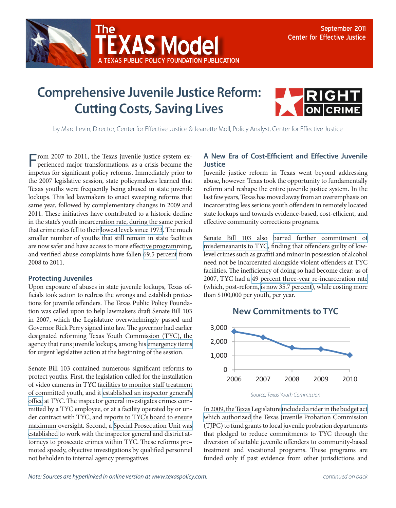

## **Comprehensive Juvenile Justice Reform: Cutting Costs, Saving Lives**

A Texas Public Policy Foundation publication

**(AS Model** 



by Marc Levin, Director, Center for Effective Justice & Jeanette Moll, Policy Analyst, Center for Effective Justice

From 2007 to 2011, the Texas juvenile justice system experienced major transformations, as a crisis became the impetus for significant policy reforms. Immediately prior to the 2007 legislative session, state policymakers learned that Texas youths were frequently being abused in state juvenile lockups. This led lawmakers to enact sweeping reforms that same year, followed by complementary changes in 2009 and 2011. These initiatives have contributed to a historic decline in the state's youth incarceration rate, during the same period that crime rates fell to their [lowest levels since 1973.](http://www.disastercenter.com/crime/txcrime.htm) The much smaller number of youths that still remain in state facilities are now safer and have access to more effective programming, and verified abuse complaints have fallen [69.5 percent](http://www.tyc.state.tx.us/oig/index.html) from 2008 to 2011.

## **Protecting Juveniles**

Upon exposure of abuses in state juvenile lockups, Texas officials took action to redress the wrongs and establish protections for juvenile offenders. The Texas Public Policy Foundation was called upon to help lawmakers draft Senate Bill 103 in 2007, which the Legislature overwhelmingly passed and Governor Rick Perry signed into law. The governor had earlier designated reforming Texas Youth Commission (TYC), the agency that runs juvenile lockups, among his [emergency items](http://governor.state.tx.us/news/press-release/2278/) for urgent legislative action at the beginning of the session.

Senate Bill 103 contained numerous significant reforms to protect youths. First, the legislation called for the installation of video cameras in TYC facilities to monitor staff treatment of committed youth, and it [established an inspector general's](http://www.capitol.state.tx.us/BillLookup/History.aspx?LegSess=80R&Bill=HB914)  [office](http://www.capitol.state.tx.us/BillLookup/History.aspx?LegSess=80R&Bill=HB914) at TYC. The inspector general investigates crimes committed by a TYC employee, or at a facility operated by or under contract with TYC, and reports to TYC's board to ensure maximum oversight. Second, a [Special Prosecution Unit was](http://www.capitol.state.tx.us/BillLookup/History.aspx?LegSess=80R&Bill=SB103)  [established](http://www.capitol.state.tx.us/BillLookup/History.aspx?LegSess=80R&Bill=SB103) to work with the inspector general and district attorneys to prosecute crimes within TYC. These reforms promoted speedy, objective investigations by qualified personnel not beholden to internal agency prerogatives.

## **A New Era of Cost-Efficient and Effective Juvenile Justice**

Juvenile justice reform in Texas went beyond addressing abuse, however. Texas took the opportunity to fundamentally reform and reshape the entire juvenile justice system. In the last few years, Texas has moved away from an overemphasis on incarcerating less serious youth offenders in remotely located state lockups and towards evidence-based, cost-efficient, and effective community corrections programs.

Senate Bill 103 also [barred further commitment of](http://www.capitol.state.tx.us/BillLookup/History.aspx?LegSess=80R&Bill=SB103) [misdemeanants to TYC](http://www.capitol.state.tx.us/BillLookup/History.aspx?LegSess=80R&Bill=SB103), finding that offenders guilty of lowlevel crimes such as graffiti and minor in possession of alcohol need not be incarcerated alongside violent offenders at TYC facilities. The inefficiency of doing so had become clear: as of 2007, TYC had a [49 percent three-year re-incarceration rate](http://www.lbb.state.tx.us/PubSafety_CrimJustice/3_Reports/Recidivism_Report_2009.pdf) (which, post-reform, [is now 35.7 percent\)](http://www.lbb.state.tx.us/PubSafety_CrimJustice/3_Reports/Recidivism_Report_2011.pdf), while costing more than \$100,000 per youth, per year.





In 2009, the Texas Legislature [included a rider in the budget act](http://www.tjpc.state.tx.us/publications/newsletters/NEWS0110.pdf)  [which authorized](http://www.tjpc.state.tx.us/publications/newsletters/NEWS0110.pdf) the Texas Juvenile Probation Commission (TJPC) to fund grants to local juvenile probation departments that pledged to reduce commitments to TYC through the diversion of suitable juvenile offenders to community-based treatment and vocational programs. These programs are funded only if past evidence from other jurisdictions and

*Source: Texas Youth Commission*